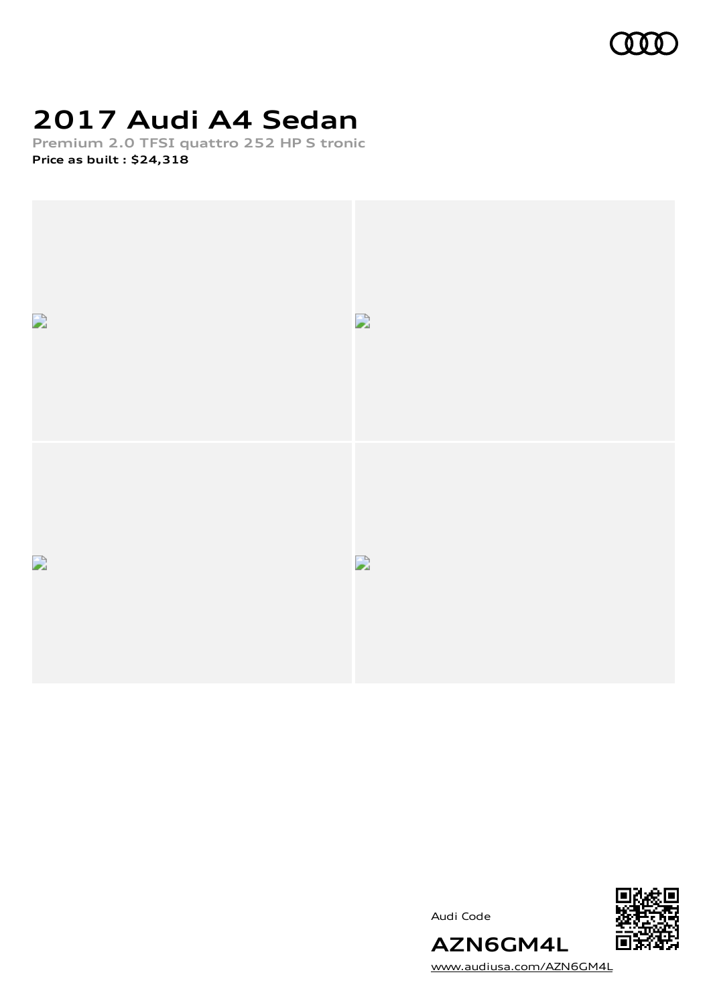

# **2017 Audi A4 Sedan**

**Premium 2.0 TFSI quattro 252 HP S tronic Price as built [:](#page-9-0) \$24,318**







[www.audiusa.com/AZN6GM4L](https://www.audiusa.com/AZN6GM4L)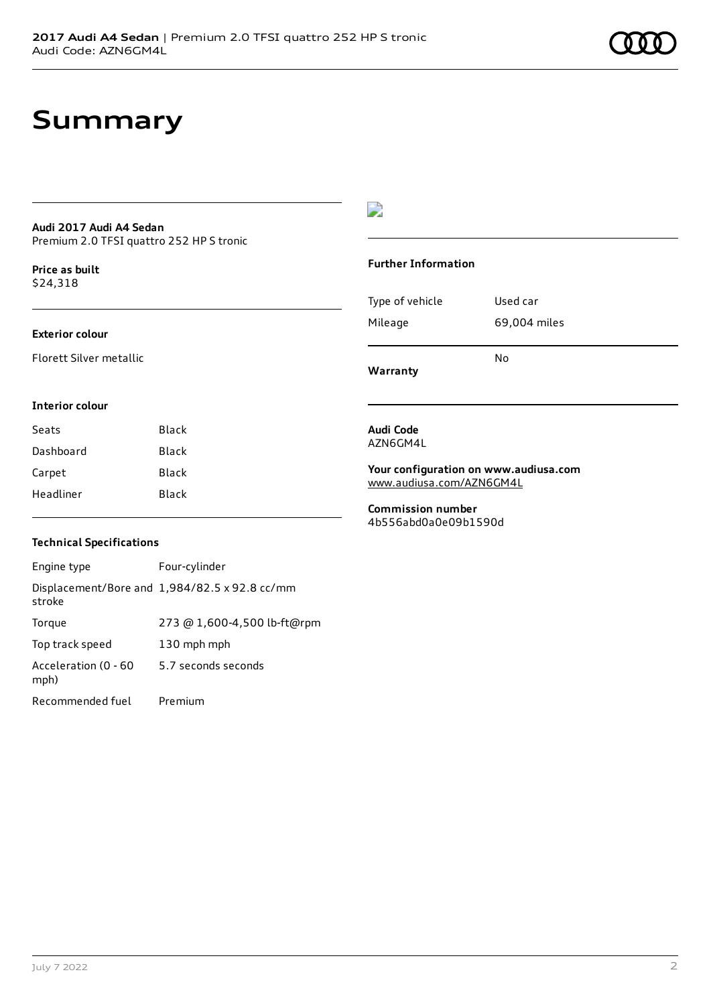## **Summary**

#### **Audi 2017 Audi A4 Sedan** Premium 2.0 TFSI quattro 252 HP S tronic

**Price as buil[t](#page-9-0)** \$24,318

#### **Exterior colour**

Florett Silver metallic

#### $\overline{\phantom{a}}$

#### **Further Information**

| Warranty        |              |
|-----------------|--------------|
|                 | N٥           |
| Mileage         | 69,004 miles |
| Type of vehicle | Used car     |

#### **Interior colour**

| Black |
|-------|
| Black |
| Black |
| Black |
|       |

#### **Audi Code** AZN6GM4L

**Your configuration on www.audiusa.com** [www.audiusa.com/AZN6GM4L](https://www.audiusa.com/AZN6GM4L)

**Commission number** 4b556abd0a0e09b1590d

#### **Technical Specifications**

| Engine type                  | Four-cylinder                                 |
|------------------------------|-----------------------------------------------|
| stroke                       | Displacement/Bore and 1,984/82.5 x 92.8 cc/mm |
| Torque                       | 273 @ 1,600-4,500 lb-ft@rpm                   |
| Top track speed              | 130 mph mph                                   |
| Acceleration (0 - 60<br>mph) | 5.7 seconds seconds                           |
| Recommended fuel             | Premium                                       |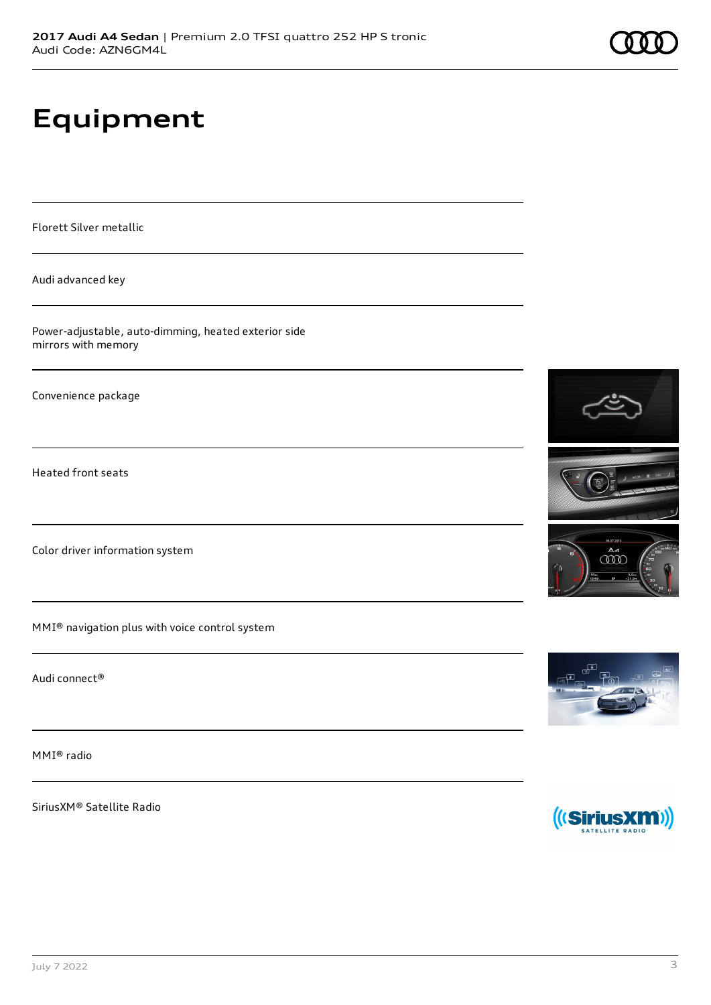# **Equipment**

Florett Silver metallic

Audi advanced key

Power-adjustable, auto-dimming, heated exterior side mirrors with memory

Convenience package

Heated front seats

Color driver information system

MMI® navigation plus with voice control system

Audi connect®

MMI® radio

SiriusXM® Satellite Radio





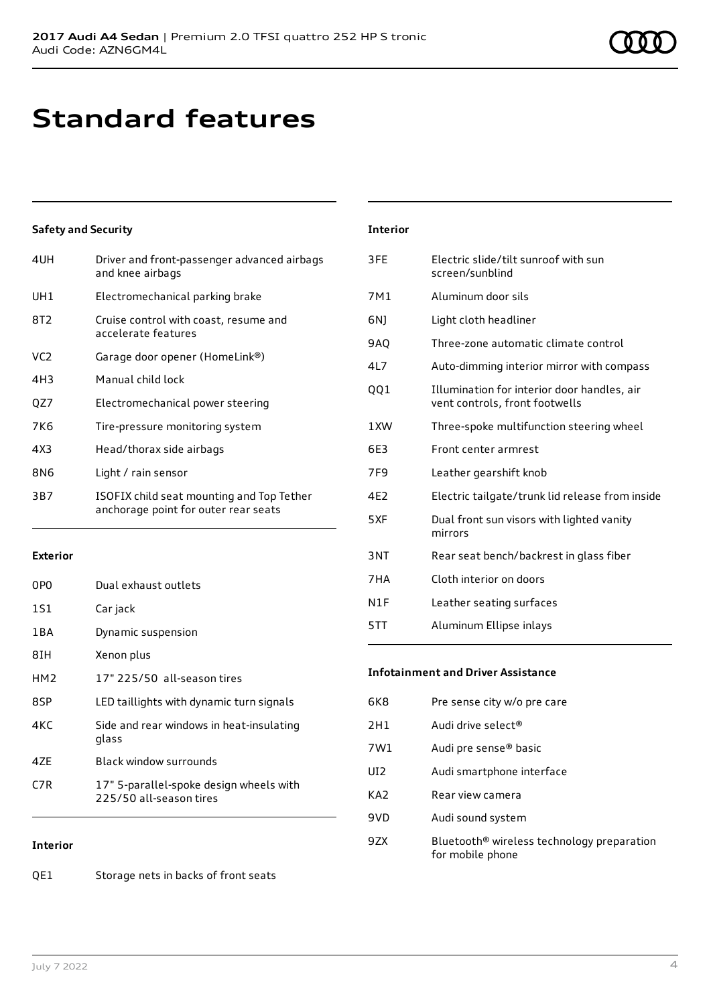# **Standard features**

#### **Safety and Security**

| 4UH             | Driver and front-passenger advanced airbags<br>and knee airbags                   |
|-----------------|-----------------------------------------------------------------------------------|
| UH1             | Electromechanical parking brake                                                   |
| 8T <sub>2</sub> | Cruise control with coast, resume and<br>accelerate features                      |
| VC <sub>2</sub> | Garage door opener (HomeLink®)                                                    |
| 4H3             | Manual child lock                                                                 |
| QZ7             | Electromechanical power steering                                                  |
| 7K6             | Tire-pressure monitoring system                                                   |
| 4X3             | Head/thorax side airbags                                                          |
| 8N6             | Light / rain sensor                                                               |
| 3B7             | ISOFIX child seat mounting and Top Tether<br>anchorage point for outer rear seats |

#### **Exterior**

| 0PO             | Dual exhaust outlets                                               |
|-----------------|--------------------------------------------------------------------|
| 1S1             | Car jack                                                           |
| 1 B A           | Dynamic suspension                                                 |
| 8TH             | Xenon plus                                                         |
| HM <sub>2</sub> | 17" 225/50 all-season tires                                        |
| 8SP             | LED taillights with dynamic turn signals                           |
| 4KC             | Side and rear windows in heat-insulating<br>glass                  |
| 47F             | Black window surrounds                                             |
| C7R             | 17" 5-parallel-spoke design wheels with<br>225/50 all-season tires |

#### **Interior**

#### **Interior**

| Electric slide/tilt sunroof with sun<br>screen/sunblind                       |
|-------------------------------------------------------------------------------|
| Aluminum door sils                                                            |
| Light cloth headliner                                                         |
| Three-zone automatic climate control                                          |
| Auto-dimming interior mirror with compass                                     |
| Illumination for interior door handles, air<br>vent controls, front footwells |
| Three-spoke multifunction steering wheel                                      |
| Front center armrest                                                          |
| Leather gearshift knob                                                        |
| Electric tailgate/trunk lid release from inside                               |
| Dual front sun visors with lighted vanity<br>mirrors                          |
| Rear seat bench/backrest in glass fiber                                       |
| Cloth interior on doors                                                       |
| Leather seating surfaces                                                      |
| Aluminum Ellipse inlays                                                       |
|                                                                               |

#### **Infotainment and Driver Assistance**

| 6K8 | Pre sense city w/o pre care                                                |
|-----|----------------------------------------------------------------------------|
| 2H1 | Audi drive select <sup>®</sup>                                             |
| 7W1 | Audi pre sense <sup>®</sup> basic                                          |
| UI2 | Audi smartphone interface                                                  |
| KA2 | Rear view camera                                                           |
| 9VD | Audi sound system                                                          |
| 9ZX | Bluetooth <sup>®</sup> wireless technology preparation<br>for mobile phone |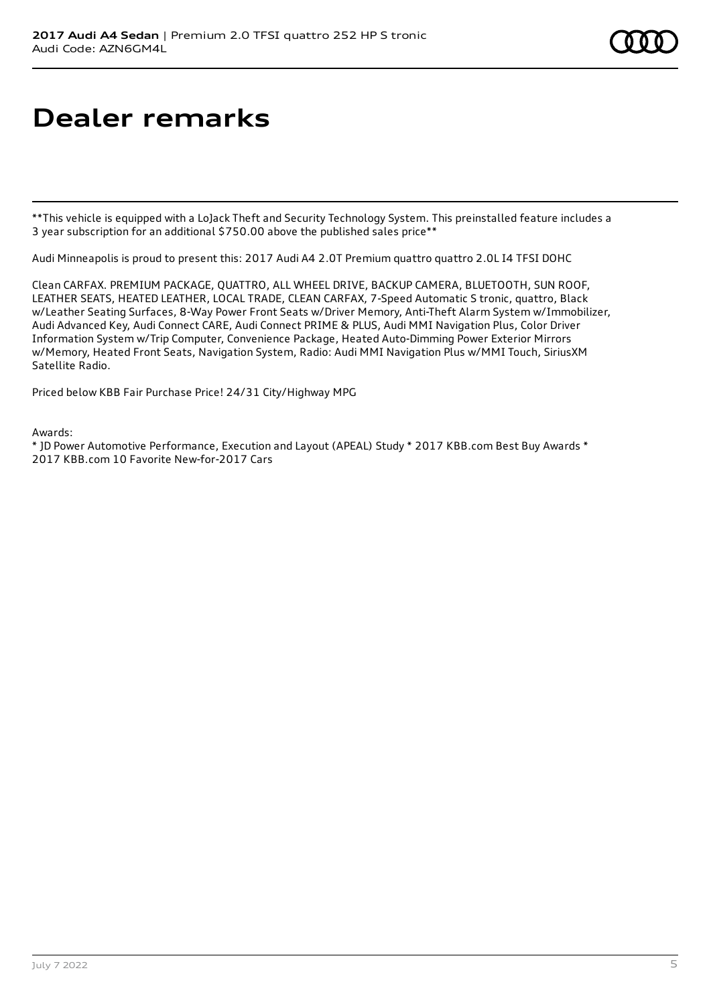# **Dealer remarks**

\*\*This vehicle is equipped with a LoJack Theft and Security Technology System. This preinstalled feature includes a 3 year subscription for an additional \$750.00 above the published sales price\*\*

Audi Minneapolis is proud to present this: 2017 Audi A4 2.0T Premium quattro quattro 2.0L I4 TFSI DOHC

Clean CARFAX. PREMIUM PACKAGE, QUATTRO, ALL WHEEL DRIVE, BACKUP CAMERA, BLUETOOTH, SUN ROOF, LEATHER SEATS, HEATED LEATHER, LOCAL TRADE, CLEAN CARFAX, 7-Speed Automatic S tronic, quattro, Black w/Leather Seating Surfaces, 8-Way Power Front Seats w/Driver Memory, Anti-Theft Alarm System w/Immobilizer, Audi Advanced Key, Audi Connect CARE, Audi Connect PRIME & PLUS, Audi MMI Navigation Plus, Color Driver Information System w/Trip Computer, Convenience Package, Heated Auto-Dimming Power Exterior Mirrors w/Memory, Heated Front Seats, Navigation System, Radio: Audi MMI Navigation Plus w/MMI Touch, SiriusXM Satellite Radio.

Priced below KBB Fair Purchase Price! 24/31 City/Highway MPG

Awards:

\* JD Power Automotive Performance, Execution and Layout (APEAL) Study \* 2017 KBB.com Best Buy Awards \* 2017 KBB.com 10 Favorite New-for-2017 Cars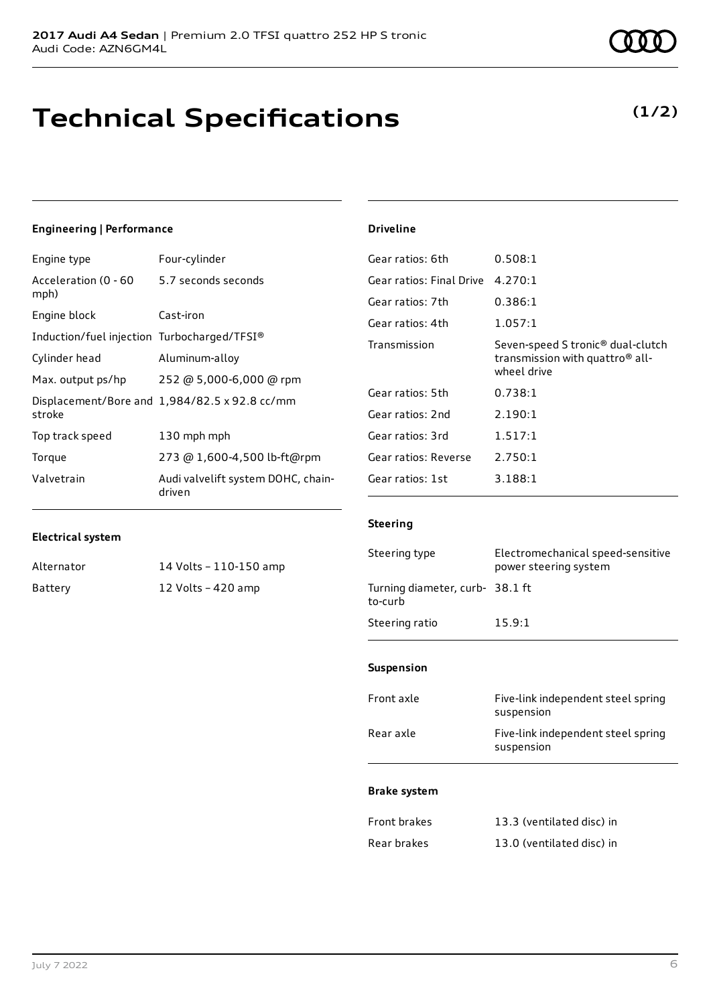### **Engineering | Performance**

| Engine type                                 | Four-cylinder                                 |
|---------------------------------------------|-----------------------------------------------|
| Acceleration (0 - 60<br>mph)                | 5.7 seconds seconds                           |
| Engine block                                | Cast-iron                                     |
| Induction/fuel injection Turbocharged/TFSI® |                                               |
| Cylinder head                               | Aluminum-alloy                                |
| Max. output ps/hp                           | 252 @ 5,000-6,000 @ rpm                       |
| stroke                                      | Displacement/Bore and 1,984/82.5 x 92.8 cc/mm |
| Top track speed                             | 130 mph mph                                   |
| Torque                                      | 273 @ 1,600-4,500 lb-ft@rpm                   |
| Valvetrain                                  | Audi valvelift system DOHC, chain-<br>driven  |

#### **Electrical system**

| Alternator | 14 Volts - 110-150 amp |
|------------|------------------------|
| Battery    | 12 Volts - 420 amp     |

#### **Driveline**

| Gear ratios: 6th         | 0.508:1                                                                                                     |
|--------------------------|-------------------------------------------------------------------------------------------------------------|
| Gear ratios: Final Drive | 4.270:1                                                                                                     |
| Gear ratios: 7th         | 0.386:1                                                                                                     |
| Gear ratios: 4th         | 1.057:1                                                                                                     |
| Transmission             | Seven-speed S tronic <sup>®</sup> dual-clutch<br>transmission with quattro <sup>®</sup> all-<br>wheel drive |
| Gear ratios: 5th         | 0.738:1                                                                                                     |
| Gear ratios: 2nd         | 2.190:1                                                                                                     |
| Gear ratios: 3rd         | 1.517:1                                                                                                     |
| Gear ratios: Reverse     | 2.750:1                                                                                                     |
| Gear ratios: 1st         | 3.188:1                                                                                                     |

#### **Steering**

| Steering type                             | Electromechanical speed-sensitive<br>power steering system |
|-------------------------------------------|------------------------------------------------------------|
| Turning diameter, curb-38.1 ft<br>to-curb |                                                            |
| Steering ratio                            | 15.9:1                                                     |

#### **Suspension**

| Front axle | Five-link independent steel spring<br>suspension |
|------------|--------------------------------------------------|
| Rear axle  | Five-link independent steel spring<br>suspension |

#### **Brake system**

| Front brakes | 13.3 (ventilated disc) in |
|--------------|---------------------------|
| Rear brakes  | 13.0 (ventilated disc) in |

### **(1/2)**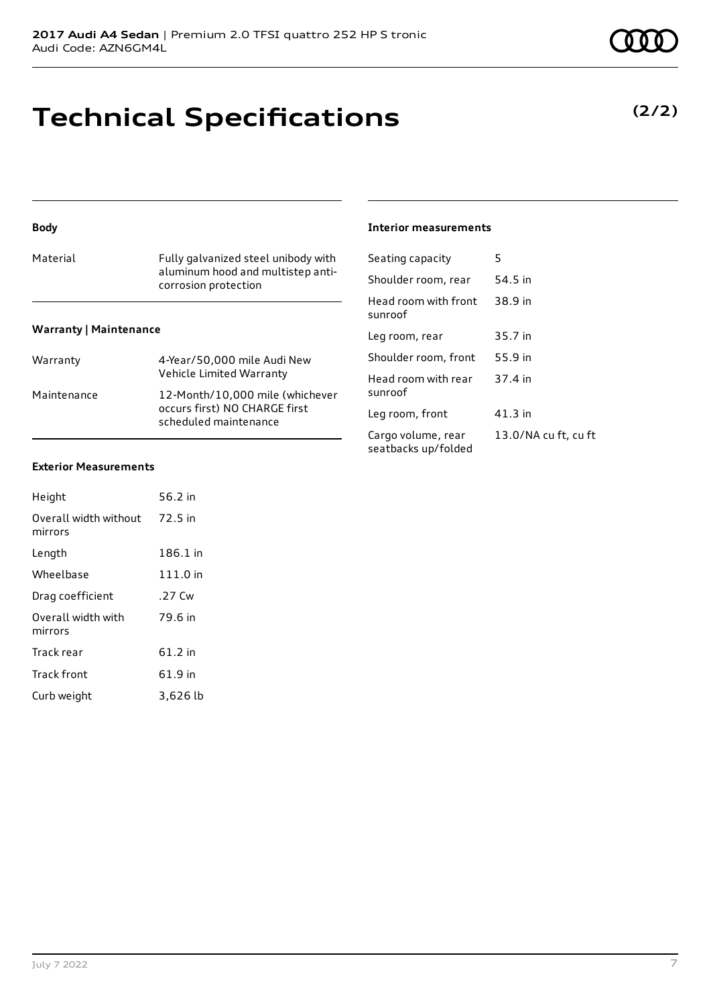# **Technical Specifications**

#### **Body**

| Material                      | Fully galvanized steel unibody with<br>aluminum hood and multistep anti-<br>corrosion protection |  |
|-------------------------------|--------------------------------------------------------------------------------------------------|--|
| <b>Warranty   Maintenance</b> |                                                                                                  |  |
| Warranty                      | 4-Year/50,000 mile Audi New<br>Vehicle Limited Warranty                                          |  |
| Maintenance                   | 12-Month/10,000 mile (whichever<br>occurs first) NO CHARGE first                                 |  |

scheduled maintenance

### **Exterior Measurements**

| Height                           | 56.2 in  |
|----------------------------------|----------|
| Overall width without<br>mirrors | 72.5 in  |
| Length                           | 186.1 in |
| Wheelbase                        | 111.0 in |
| Drag coefficient                 | .27 Cw   |
| Overall width with<br>mirrors    | 79.6 in  |
| Track rear                       | 61.2 in  |
| <b>Track front</b>               | 61.9 in  |
| Curb weight                      | 3,626 lb |

#### **Interior measurements**

| Seating capacity                          | 5                    |
|-------------------------------------------|----------------------|
| Shoulder room, rear                       | 54.5 in              |
| Head room with front<br>sunroof           | 38.9 in              |
| Leg room, rear                            | 35.7 in              |
| Shoulder room, front                      | 55.9 in              |
| Head room with rear<br>sunroof            | 37.4 in              |
| Leg room, front                           | 41.3 in              |
| Cargo volume, rear<br>seatbacks up/folded | 13.0/NA cu ft, cu ft |

### **(2/2)**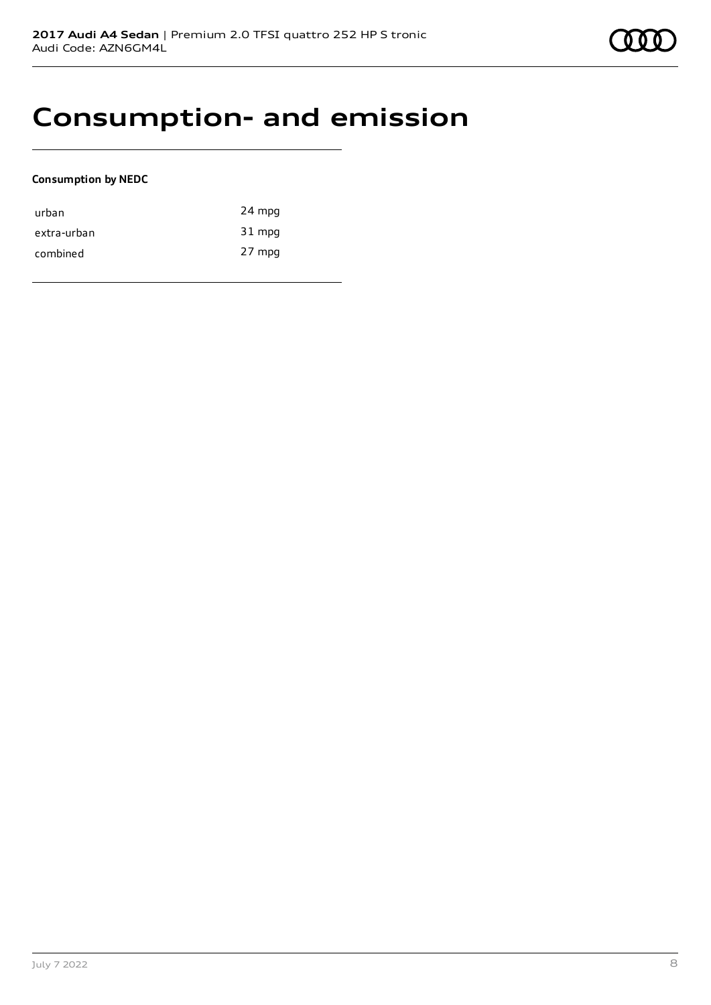## **Consumption- and emission**

#### **Consumption by NEDC**

| urban       | 24 mpg |
|-------------|--------|
| extra-urban | 31 mpg |
| combined    | 27 mpg |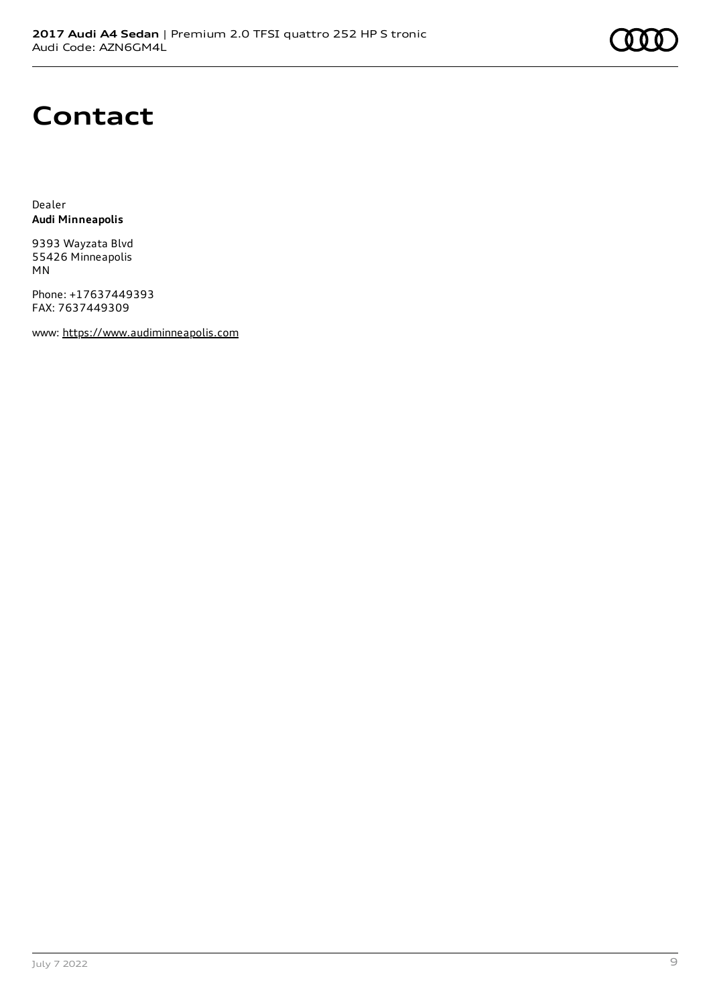

# **Contact**

Dealer **Audi Minneapolis**

9393 Wayzata Blvd 55426 Minneapolis MN

Phone: +17637449393 FAX: 7637449309

www: [https://www.audiminneapolis.com](https://www.audiminneapolis.com/)